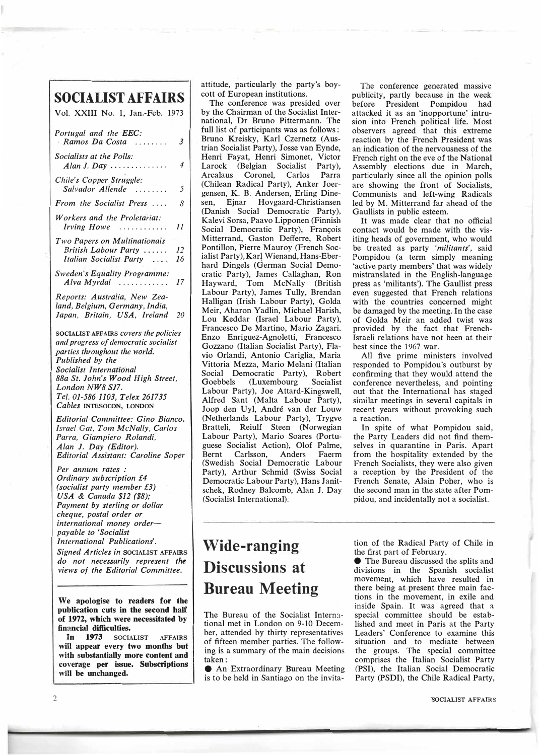## **Wide-ranging Discussions at Bureau Meeting**

The Bureau of the Socialist International met in London on 9-10 December, attended by thirty representatives of fifteen member parties. The following is a summary of the main decisions taken:

• An Extraordinary Bureau Meeting is to be held in Santiago on the invitation of the Radical Party of Chile in the first part of February.

e The Bureau discussed the splits and divisions in the Spanish socialist movement, which have resulted in there being at present three main factions in the movement, in exile and inside Spain. It was agreed that a special committee should be established and meet in Paris at the Party Leaders' Conference to examine this situation and to mediate between the groups. The special committee comprises the Italian Socialist Party (PSI), the Italian Social Democratic Party (PSDI), the Chile Radical Party,

**'SOCIALIST AFFAIRS**